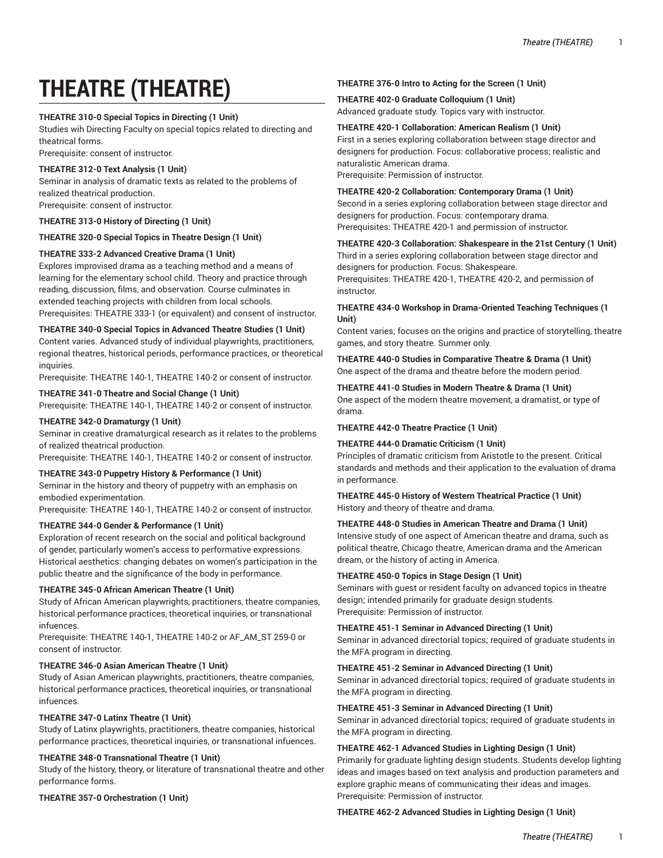# **THEATRE (THEATRE)**

## **THEATRE 310-0 Special Topics in Directing (1 Unit)**

Studies wih Directing Faculty on special topics related to directing and theatrical forms.

Prerequisite: consent of instructor.

## **THEATRE 312-0 Text Analysis (1 Unit)**

Seminar in analysis of dramatic texts as related to the problems of realized theatrical production. Prerequisite: consent of instructor.

## **THEATRE 313-0 History of Directing (1 Unit)**

## **THEATRE 320-0 Special Topics in Theatre Design (1 Unit)**

## **THEATRE 333-2 Advanced Creative Drama (1 Unit)**

Explores improvised drama as a teaching method and a means of learning for the elementary school child. Theory and practice through reading, discussion, films, and observation. Course culminates in extended teaching projects with children from local schools. Prerequisites: THEATRE 333-1 (or equivalent) and consent of instructor.

## **THEATRE 340-0 Special Topics in Advanced Theatre Studies (1 Unit)**

Content varies. Advanced study of individual playwrights, practitioners, regional theatres, historical periods, performance practices, or theoretical inquiries.

Prerequisite: THEATRE 140-1, THEATRE 140-2 or consent of instructor.

## **THEATRE 341-0 Theatre and Social Change (1 Unit)**

Prerequisite: THEATRE 140-1, THEATRE 140-2 or consent of instructor.

## **THEATRE 342-0 Dramaturgy (1 Unit)**

Seminar in creative dramaturgical research as it relates to the problems of realized theatrical production.

Prerequisite: THEATRE 140-1, THEATRE 140-2 or consent of instructor.

## **THEATRE 343-0 Puppetry History & Performance (1 Unit)**

Seminar in the history and theory of puppetry with an emphasis on embodied experimentation.

Prerequisite: THEATRE 140-1, THEATRE 140-2 or consent of instructor.

## **THEATRE 344-0 Gender & Performance (1 Unit)**

Exploration of recent research on the social and political background of gender, particularly women's access to performative expressions. Historical aesthetics: changing debates on women's participation in the public theatre and the significance of the body in performance.

## **THEATRE 345-0 African American Theatre (1 Unit)**

Study of African American playwrights, practitioners, theatre companies, historical performance practices, theoretical inquiries, or transnational infuences.

Prerequisite: THEATRE 140-1, THEATRE 140-2 or AF\_AM\_ST 259-0 or consent of instructor.

## **THEATRE 346-0 Asian American Theatre (1 Unit)**

Study of Asian American playwrights, practitioners, theatre companies, historical performance practices, theoretical inquiries, or transnational infuences.

## **THEATRE 347-0 Latinx Theatre (1 Unit)**

Study of Latinx playwrights, practitioners, theatre companies, historical performance practices, theoretical inquiries, or transnational infuences.

## **THEATRE 348-0 Transnational Theatre (1 Unit)**

Study of the history, theory, or literature of transnational theatre and other performance forms.

**THEATRE 357-0 Orchestration (1 Unit)** 

## **THEATRE 376-0 Intro to Acting for the Screen (1 Unit)**

## **THEATRE 402-0 Graduate Colloquium (1 Unit)**

Advanced graduate study. Topics vary with instructor.

#### **THEATRE 420-1 Collaboration: American Realism (1 Unit)**

First in a series exploring collaboration between stage director and designers for production. Focus: collaborative process; realistic and naturalistic American drama.

Prerequisite: Permission of instructor.

## **THEATRE 420-2 Collaboration: Contemporary Drama (1 Unit)**

Second in a series exploring collaboration between stage director and designers for production. Focus: contemporary drama. Prerequisites: THEATRE 420-1 and permission of instructor.

## **THEATRE 420-3 Collaboration: Shakespeare in the 21st Century (1 Unit)**

Third in a series exploring collaboration between stage director and designers for production. Focus: Shakespeare.

Prerequisites: THEATRE 420-1, THEATRE 420-2, and permission of instructor.

## **THEATRE 434-0 Workshop in Drama-Oriented Teaching Techniques (1 Unit)**

Content varies; focuses on the origins and practice of storytelling, theatre games, and story theatre. Summer only.

**THEATRE 440-0 Studies in Comparative Theatre & Drama (1 Unit)** One aspect of the drama and theatre before the modern period.

## **THEATRE 441-0 Studies in Modern Theatre & Drama (1 Unit)**

One aspect of the modern theatre movement, a dramatist, or type of drama.

## **THEATRE 442-0 Theatre Practice (1 Unit)**

## **THEATRE 444-0 Dramatic Criticism (1 Unit)**

Principles of dramatic criticism from Aristotle to the present. Critical standards and methods and their application to the evaluation of drama in performance.

## **THEATRE 445-0 History of Western Theatrical Practice (1 Unit)** History and theory of theatre and drama.

## **THEATRE 448-0 Studies in American Theatre and Drama (1 Unit)**

Intensive study of one aspect of American theatre and drama, such as political theatre, Chicago theatre, American drama and the American dream, or the history of acting in America.

## **THEATRE 450-0 Topics in Stage Design (1 Unit)**

Seminars with guest or resident faculty on advanced topics in theatre design; intended primarily for graduate design students. Prerequisite: Permission of instructor.

## **THEATRE 451-1 Seminar in Advanced Directing (1 Unit)**

Seminar in advanced directorial topics; required of graduate students in the MFA program in directing.

## **THEATRE 451-2 Seminar in Advanced Directing (1 Unit)**

Seminar in advanced directorial topics; required of graduate students in the MFA program in directing.

## **THEATRE 451-3 Seminar in Advanced Directing (1 Unit)**

Seminar in advanced directorial topics; required of graduate students in the MFA program in directing.

## **THEATRE 462-1 Advanced Studies in Lighting Design (1 Unit)**

Primarily for graduate lighting design students. Students develop lighting ideas and images based on text analysis and production parameters and explore graphic means of communicating their ideas and images. Prerequisite: Permission of instructor.

## **THEATRE 462-2 Advanced Studies in Lighting Design (1 Unit)**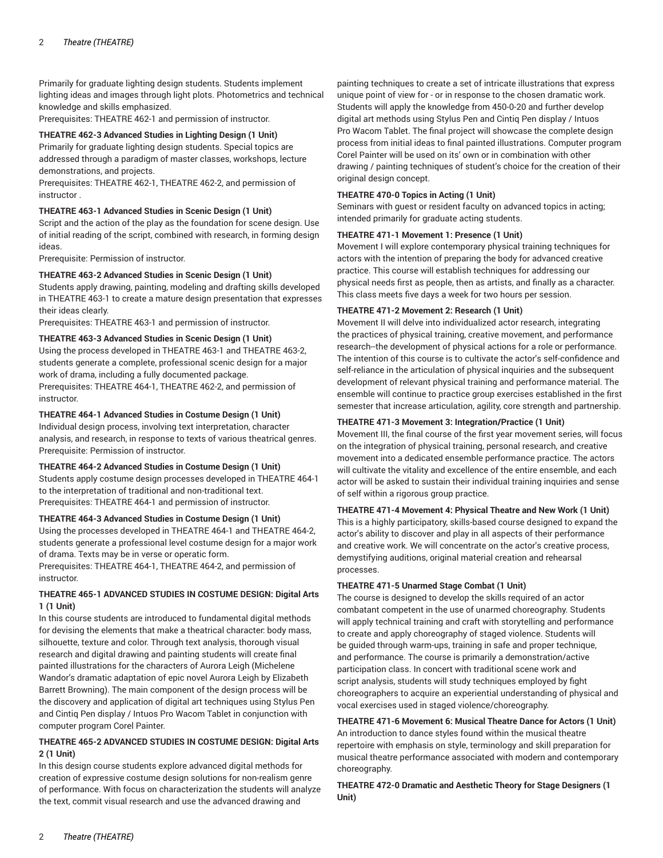Primarily for graduate lighting design students. Students implement lighting ideas and images through light plots. Photometrics and technical knowledge and skills emphasized.

Prerequisites: THEATRE 462-1 and permission of instructor.

## **THEATRE 462-3 Advanced Studies in Lighting Design (1 Unit)**

Primarily for graduate lighting design students. Special topics are addressed through a paradigm of master classes, workshops, lecture demonstrations, and projects.

Prerequisites: THEATRE 462-1, THEATRE 462-2, and permission of instructor .

## **THEATRE 463-1 Advanced Studies in Scenic Design (1 Unit)**

Script and the action of the play as the foundation for scene design. Use of initial reading of the script, combined with research, in forming design ideas.

Prerequisite: Permission of instructor.

## **THEATRE 463-2 Advanced Studies in Scenic Design (1 Unit)**

Students apply drawing, painting, modeling and drafting skills developed in THEATRE 463-1 to create a mature design presentation that expresses their ideas clearly.

Prerequisites: THEATRE 463-1 and permission of instructor.

## **THEATRE 463-3 Advanced Studies in Scenic Design (1 Unit)**

Using the process developed in THEATRE 463-1 and THEATRE 463-2, students generate a complete, professional scenic design for a major work of drama, including a fully documented package. Prerequisites: THEATRE 464-1, THEATRE 462-2, and permission of instructor.

## **THEATRE 464-1 Advanced Studies in Costume Design (1 Unit)**

Individual design process, involving text interpretation, character analysis, and research, in response to texts of various theatrical genres. Prerequisite: Permission of instructor.

## **THEATRE 464-2 Advanced Studies in Costume Design (1 Unit)**

Students apply costume design processes developed in THEATRE 464-1 to the interpretation of traditional and non-traditional text. Prerequisites: THEATRE 464-1 and permission of instructor.

## **THEATRE 464-3 Advanced Studies in Costume Design (1 Unit)**

Using the processes developed in THEATRE 464-1 and THEATRE 464-2, students generate a professional level costume design for a major work of drama. Texts may be in verse or operatic form.

Prerequisites: THEATRE 464-1, THEATRE 464-2, and permission of instructor.

# **THEATRE 465-1 ADVANCED STUDIES IN COSTUME DESIGN: Digital Arts 1 (1 Unit)**

In this course students are introduced to fundamental digital methods for devising the elements that make a theatrical character: body mass, silhouette, texture and color. Through text analysis, thorough visual research and digital drawing and painting students will create final painted illustrations for the characters of Aurora Leigh (Michelene Wandor's dramatic adaptation of epic novel Aurora Leigh by Elizabeth Barrett Browning). The main component of the design process will be the discovery and application of digital art techniques using Stylus Pen and Cintiq Pen display / Intuos Pro Wacom Tablet in conjunction with computer program Corel Painter.

# **THEATRE 465-2 ADVANCED STUDIES IN COSTUME DESIGN: Digital Arts 2 (1 Unit)**

In this design course students explore advanced digital methods for creation of expressive costume design solutions for non-realism genre of performance. With focus on characterization the students will analyze the text, commit visual research and use the advanced drawing and

painting techniques to create a set of intricate illustrations that express unique point of view for - or in response to the chosen dramatic work. Students will apply the knowledge from 450-0-20 and further develop digital art methods using Stylus Pen and Cintiq Pen display / Intuos Pro Wacom Tablet. The final project will showcase the complete design process from initial ideas to final painted illustrations. Computer program Corel Painter will be used on its' own or in combination with other drawing / painting techniques of student's choice for the creation of their original design concept.

# **THEATRE 470-0 Topics in Acting (1 Unit)**

Seminars with guest or resident faculty on advanced topics in acting; intended primarily for graduate acting students.

# **THEATRE 471-1 Movement 1: Presence (1 Unit)**

Movement I will explore contemporary physical training techniques for actors with the intention of preparing the body for advanced creative practice. This course will establish techniques for addressing our physical needs first as people, then as artists, and finally as a character. This class meets five days a week for two hours per session.

# **THEATRE 471-2 Movement 2: Research (1 Unit)**

Movement II will delve into individualized actor research, integrating the practices of physical training, creative movement, and performance research--the development of physical actions for a role or performance. The intention of this course is to cultivate the actor's self-confidence and self-reliance in the articulation of physical inquiries and the subsequent development of relevant physical training and performance material. The ensemble will continue to practice group exercises established in the first semester that increase articulation, agility, core strength and partnership.

# **THEATRE 471-3 Movement 3: Integration/Practice (1 Unit)**

Movement III, the final course of the first year movement series, will focus on the integration of physical training, personal research, and creative movement into a dedicated ensemble performance practice. The actors will cultivate the vitality and excellence of the entire ensemble, and each actor will be asked to sustain their individual training inquiries and sense of self within a rigorous group practice.

# **THEATRE 471-4 Movement 4: Physical Theatre and New Work (1 Unit)**

This is a highly participatory, skills-based course designed to expand the actor's ability to discover and play in all aspects of their performance and creative work. We will concentrate on the actor's creative process, demystifying auditions, original material creation and rehearsal processes.

# **THEATRE 471-5 Unarmed Stage Combat (1 Unit)**

The course is designed to develop the skills required of an actor combatant competent in the use of unarmed choreography. Students will apply technical training and craft with storytelling and performance to create and apply choreography of staged violence. Students will be guided through warm-ups, training in safe and proper technique, and performance. The course is primarily a demonstration/active participation class. In concert with traditional scene work and script analysis, students will study techniques employed by fight choreographers to acquire an experiential understanding of physical and vocal exercises used in staged violence/choreography.

**THEATRE 471-6 Movement 6: Musical Theatre Dance for Actors (1 Unit)** An introduction to dance styles found within the musical theatre repertoire with emphasis on style, terminology and skill preparation for musical theatre performance associated with modern and contemporary choreography.

**THEATRE 472-0 Dramatic and Aesthetic Theory for Stage Designers (1 Unit)**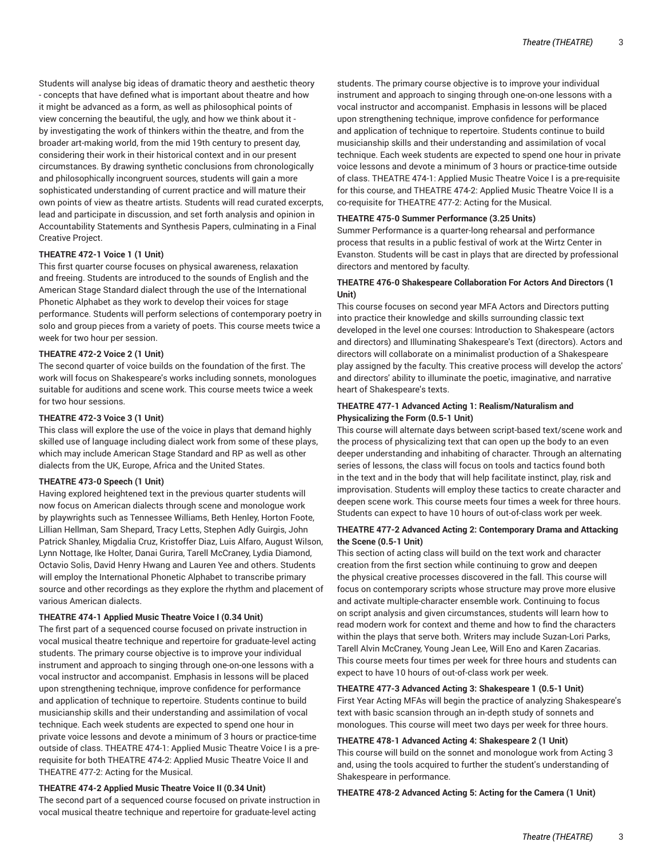Students will analyse big ideas of dramatic theory and aesthetic theory - concepts that have defined what is important about theatre and how it might be advanced as a form, as well as philosophical points of view concerning the beautiful, the ugly, and how we think about it by investigating the work of thinkers within the theatre, and from the broader art-making world, from the mid 19th century to present day, considering their work in their historical context and in our present circumstances. By drawing synthetic conclusions from chronologically and philosophically incongruent sources, students will gain a more sophisticated understanding of current practice and will mature their own points of view as theatre artists. Students will read curated excerpts, lead and participate in discussion, and set forth analysis and opinion in Accountability Statements and Synthesis Papers, culminating in a Final Creative Project.

## **THEATRE 472-1 Voice 1 (1 Unit)**

This first quarter course focuses on physical awareness, relaxation and freeing. Students are introduced to the sounds of English and the American Stage Standard dialect through the use of the International Phonetic Alphabet as they work to develop their voices for stage performance. Students will perform selections of contemporary poetry in solo and group pieces from a variety of poets. This course meets twice a week for two hour per session.

## **THEATRE 472-2 Voice 2 (1 Unit)**

The second quarter of voice builds on the foundation of the first. The work will focus on Shakespeare's works including sonnets, monologues suitable for auditions and scene work. This course meets twice a week for two hour sessions.

## **THEATRE 472-3 Voice 3 (1 Unit)**

This class will explore the use of the voice in plays that demand highly skilled use of language including dialect work from some of these plays, which may include American Stage Standard and RP as well as other dialects from the UK, Europe, Africa and the United States.

## **THEATRE 473-0 Speech (1 Unit)**

Having explored heightened text in the previous quarter students will now focus on American dialects through scene and monologue work by playwrights such as Tennessee Williams, Beth Henley, Horton Foote, Lillian Hellman, Sam Shepard, Tracy Letts, Stephen Adly Guirgis, John Patrick Shanley, Migdalia Cruz, Kristoffer Diaz, Luis Alfaro, August Wilson, Lynn Nottage, Ike Holter, Danai Gurira, Tarell McCraney, Lydia Diamond, Octavio Solis, David Henry Hwang and Lauren Yee and others. Students will employ the International Phonetic Alphabet to transcribe primary source and other recordings as they explore the rhythm and placement of various American dialects.

#### **THEATRE 474-1 Applied Music Theatre Voice I (0.34 Unit)**

The first part of a sequenced course focused on private instruction in vocal musical theatre technique and repertoire for graduate-level acting students. The primary course objective is to improve your individual instrument and approach to singing through one-on-one lessons with a vocal instructor and accompanist. Emphasis in lessons will be placed upon strengthening technique, improve confidence for performance and application of technique to repertoire. Students continue to build musicianship skills and their understanding and assimilation of vocal technique. Each week students are expected to spend one hour in private voice lessons and devote a minimum of 3 hours or practice-time outside of class. THEATRE 474-1: Applied Music Theatre Voice I is a prerequisite for both THEATRE 474-2: Applied Music Theatre Voice II and THEATRE 477-2: Acting for the Musical.

## **THEATRE 474-2 Applied Music Theatre Voice II (0.34 Unit)**

The second part of a sequenced course focused on private instruction in vocal musical theatre technique and repertoire for graduate-level acting

students. The primary course objective is to improve your individual instrument and approach to singing through one-on-one lessons with a vocal instructor and accompanist. Emphasis in lessons will be placed upon strengthening technique, improve confidence for performance and application of technique to repertoire. Students continue to build musicianship skills and their understanding and assimilation of vocal technique. Each week students are expected to spend one hour in private voice lessons and devote a minimum of 3 hours or practice-time outside of class. THEATRE 474-1: Applied Music Theatre Voice I is a pre-requisite for this course, and THEATRE 474-2: Applied Music Theatre Voice II is a co-requisite for THEATRE 477-2: Acting for the Musical.

## **THEATRE 475-0 Summer Performance (3.25 Units)**

Summer Performance is a quarter-long rehearsal and performance process that results in a public festival of work at the Wirtz Center in Evanston. Students will be cast in plays that are directed by professional directors and mentored by faculty.

## **THEATRE 476-0 Shakespeare Collaboration For Actors And Directors (1 Unit)**

This course focuses on second year MFA Actors and Directors putting into practice their knowledge and skills surrounding classic text developed in the level one courses: Introduction to Shakespeare (actors and directors) and Illuminating Shakespeare's Text (directors). Actors and directors will collaborate on a minimalist production of a Shakespeare play assigned by the faculty. This creative process will develop the actors' and directors' ability to illuminate the poetic, imaginative, and narrative heart of Shakespeare's texts.

## **THEATRE 477-1 Advanced Acting 1: Realism/Naturalism and Physicalizing the Form (0.5-1 Unit)**

This course will alternate days between script-based text/scene work and the process of physicalizing text that can open up the body to an even deeper understanding and inhabiting of character. Through an alternating series of lessons, the class will focus on tools and tactics found both in the text and in the body that will help facilitate instinct, play, risk and improvisation. Students will employ these tactics to create character and deepen scene work. This course meets four times a week for three hours. Students can expect to have 10 hours of out-of-class work per week.

## **THEATRE 477-2 Advanced Acting 2: Contemporary Drama and Attacking the Scene (0.5-1 Unit)**

This section of acting class will build on the text work and character creation from the first section while continuing to grow and deepen the physical creative processes discovered in the fall. This course will focus on contemporary scripts whose structure may prove more elusive and activate multiple-character ensemble work. Continuing to focus on script analysis and given circumstances, students will learn how to read modern work for context and theme and how to find the characters within the plays that serve both. Writers may include Suzan-Lori Parks, Tarell Alvin McCraney, Young Jean Lee, Will Eno and Karen Zacarias. This course meets four times per week for three hours and students can expect to have 10 hours of out-of-class work per week.

## **THEATRE 477-3 Advanced Acting 3: Shakespeare 1 (0.5-1 Unit)**

First Year Acting MFAs will begin the practice of analyzing Shakespeare's text with basic scansion through an in-depth study of sonnets and monologues. This course will meet two days per week for three hours.

## **THEATRE 478-1 Advanced Acting 4: Shakespeare 2 (1 Unit)**

This course will build on the sonnet and monologue work from Acting 3 and, using the tools acquired to further the student's understanding of Shakespeare in performance.

**THEATRE 478-2 Advanced Acting 5: Acting for the Camera (1 Unit)**